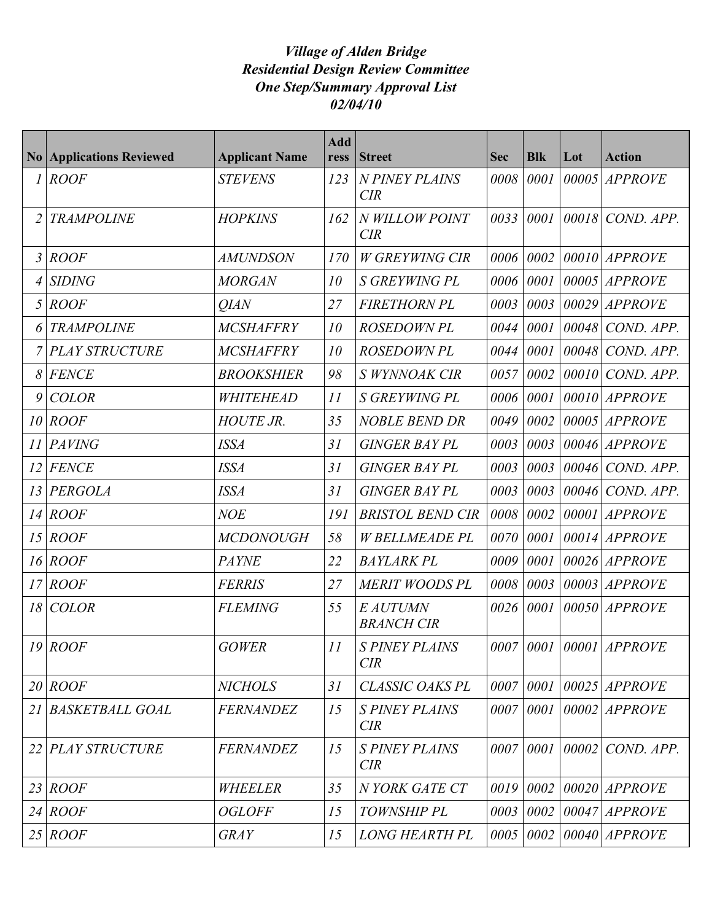## *Village of Alden Bridge Residential Design Review Committee One Step/Summary Approval List 02/04/10*

|    | <b>No Applications Reviewed</b> | <b>Applicant Name</b> | <b>Add</b><br>ress | <b>Street</b>                       | <b>Sec</b> | <b>Blk</b> | Lot   | <b>Action</b>      |
|----|---------------------------------|-----------------------|--------------------|-------------------------------------|------------|------------|-------|--------------------|
| 1  | <b>ROOF</b>                     | <b>STEVENS</b>        | 123                | N PINEY PLAINS<br><b>CIR</b>        | 0008       | 0001       | 00005 | <b>APPROVE</b>     |
|    | <b>TRAMPOLINE</b>               | <b>HOPKINS</b>        | 162                | N WILLOW POINT<br>CIR               | 0033       | 0001       | 00018 | COND. APP.         |
| 3  | <b>ROOF</b>                     | <b>AMUNDSON</b>       | 170                | <b>W GREYWING CIR</b>               | 0006       | 0002       |       | $00010$  APPROVE   |
|    | <b>SIDING</b>                   | <b>MORGAN</b>         | 10                 | <b>S GREYWING PL</b>                | 0006       | 0001       |       | 00005 APPROVE      |
| 5  | <b>ROOF</b>                     | <b>OIAN</b>           | 27                 | <b>FIRETHORN PL</b>                 | 0003       | 0003       | 00029 | <b>APPROVE</b>     |
|    | <b>TRAMPOLINE</b>               | <b>MCSHAFFRY</b>      | 10                 | <b>ROSEDOWN PL</b>                  | 0044       | 0001       |       | 00048 COND. APP.   |
|    | <b>PLAY STRUCTURE</b>           | <b>MCSHAFFRY</b>      | 10                 | <b>ROSEDOWN PL</b>                  | 0044       | 0001       |       | $00048$ COND. APP. |
| 8  | <b>FENCE</b>                    | <b>BROOKSHIER</b>     | 98                 | S WYNNOAK CIR                       | 0057       | 0002       | 00010 | COND. APP.         |
| 9  | <b>COLOR</b>                    | WHITEHEAD             | 11                 | <b>S GREYWING PL</b>                | 0006       | 0001       |       | $00010$  APPROVE   |
| 10 | <b>ROOF</b>                     | <b>HOUTE JR.</b>      | 35                 | <b>NOBLE BEND DR</b>                | 0049       | 0002       |       | $00005$ APPROVE    |
| 11 | <b>PAVING</b>                   | <b>ISSA</b>           | 31                 | <b>GINGER BAY PL</b>                | 0003       | 0003       |       | $00046$ APPROVE    |
| 12 | <b>FENCE</b>                    | <b>ISSA</b>           | 31                 | <b>GINGER BAY PL</b>                | 0003       | 0003       |       | 00046 COND. APP.   |
| 13 | <b>PERGOLA</b>                  | <b>ISSA</b>           | 31                 | <b>GINGER BAY PL</b>                | 0003       | 0003       |       | $00046$ COND. APP. |
| 14 | <b>ROOF</b>                     | <b>NOE</b>            | 191                | <b>BRISTOL BEND CIR</b>             | 0008       | 0002       | 00001 | <b>APPROVE</b>     |
| 15 | <b>ROOF</b>                     | <b>MCDONOUGH</b>      | 58                 | <b>W BELLMEADE PL</b>               | 0070       | 0001       |       | $00014$ APPROVE    |
| 16 | <b>ROOF</b>                     | <b>PAYNE</b>          | 22                 | <b>BAYLARK PL</b>                   | 0009       | 0001       |       | $00026$ APPROVE    |
| 17 | <b>ROOF</b>                     | <b>FERRIS</b>         | 27                 | <b>MERIT WOODS PL</b>               | 0008       | 0003       | 00003 | <b>APPROVE</b>     |
| 18 | <b>COLOR</b>                    | <b>FLEMING</b>        | 55                 | E AUTUMN<br><b>BRANCH CIR</b>       | 0026       | 0001       |       | 00050 APPROVE      |
| 19 | <b>ROOF</b>                     | <b>GOWER</b>          | 11                 | <b>S PINEY PLAINS</b><br><b>CIR</b> | 0007       | 0001       |       | $00001$ APPROVE    |
|    | $20$ ROOF                       | <b>NICHOLS</b>        | 31                 | <b>CLASSIC OAKS PL</b>              | 0007       | 0001       |       | $00025$ APPROVE    |
| 21 | <b>BASKETBALL GOAL</b>          | <b>FERNANDEZ</b>      | 15                 | <b>S PINEY PLAINS</b><br><b>CIR</b> | 0007       | 0001       |       | $00002$ APPROVE    |
|    | 22 PLAY STRUCTURE               | <b>FERNANDEZ</b>      | 15                 | <b>S PINEY PLAINS</b><br><b>CIR</b> | 0007       | 0001       |       | $00002$ COND. APP. |
|    | 23   ROOF                       | WHEELER               | 35                 | N YORK GATE CT                      | 0019       | 0002       |       | $00020$ APPROVE    |
| 24 | <b>ROOF</b>                     | <b>OGLOFF</b>         | 15                 | TOWNSHIP PL                         | 0003       | 0002       |       | 00047 APPROVE      |
| 25 | <b>ROOF</b>                     | <b>GRAY</b>           | 15                 | <b>LONG HEARTH PL</b>               | 0005       | 0002       |       | $00040$  APPROVE   |